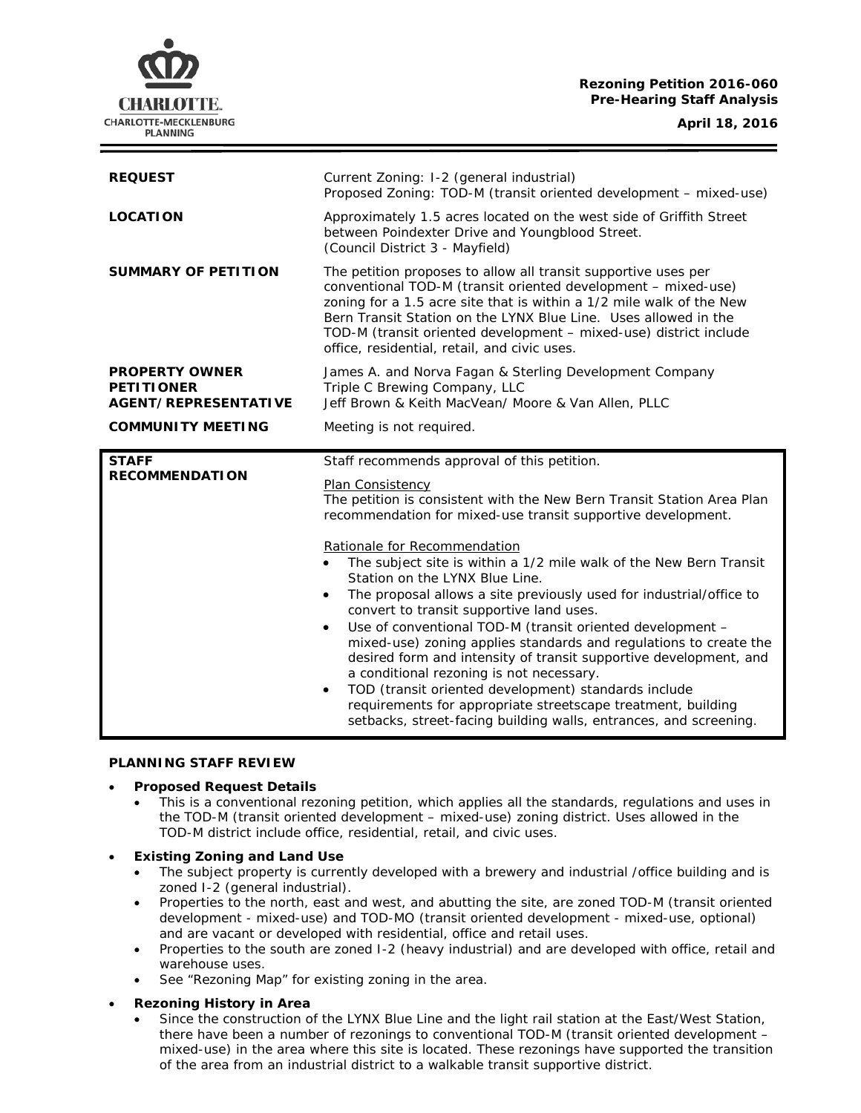# **Rezoning Petition 2016-060 Pre-Hearing Staff Analysis**

CHARLOTTE. CHARLOTTE-MECKLENBURG **PLANNING** 

**April 18, 2016**

| <b>REQUEST</b>                                                            | Current Zoning: I-2 (general industrial)<br>Proposed Zoning: TOD-M (transit oriented development - mixed-use)                                                                                                                                                                                                                                                                                   |
|---------------------------------------------------------------------------|-------------------------------------------------------------------------------------------------------------------------------------------------------------------------------------------------------------------------------------------------------------------------------------------------------------------------------------------------------------------------------------------------|
| <b>LOCATION</b>                                                           | Approximately 1.5 acres located on the west side of Griffith Street<br>between Poindexter Drive and Youngblood Street.<br>(Council District 3 - Mayfield)                                                                                                                                                                                                                                       |
| <b>SUMMARY OF PETITION</b>                                                | The petition proposes to allow all transit supportive uses per<br>conventional TOD-M (transit oriented development - mixed-use)<br>zoning for a 1.5 acre site that is within a 1/2 mile walk of the New<br>Bern Transit Station on the LYNX Blue Line. Uses allowed in the<br>TOD-M (transit oriented development – mixed-use) district include<br>office, residential, retail, and civic uses. |
| <b>PROPERTY OWNER</b><br><b>PETITIONER</b><br><b>AGENT/REPRESENTATIVE</b> | James A. and Norva Fagan & Sterling Development Company<br>Triple C Brewing Company, LLC<br>Jeff Brown & Keith MacVean/ Moore & Van Allen, PLLC                                                                                                                                                                                                                                                 |
| <b>COMMUNITY MEETING</b>                                                  | Meeting is not required.                                                                                                                                                                                                                                                                                                                                                                        |
|                                                                           |                                                                                                                                                                                                                                                                                                                                                                                                 |
| <b>STAFF</b><br><b>RECOMMENDATION</b>                                     | Staff recommends approval of this petition.<br>Plan Consistency<br>The petition is consistent with the New Bern Transit Station Area Plan<br>recommendation for mixed-use transit supportive development.                                                                                                                                                                                       |

#### **PLANNING STAFF REVIEW**

#### • **Proposed Request Details**

• This is a conventional rezoning petition, which applies all the standards, regulations and uses in the TOD-M (transit oriented development – mixed-use) zoning district. Uses allowed in the TOD-M district include office, residential, retail, and civic uses.

## • **Existing Zoning and Land Use**

- The subject property is currently developed with a brewery and industrial /office building and is zoned I-2 (general industrial).
- Properties to the north, east and west, and abutting the site, are zoned TOD-M (transit oriented development - mixed-use) and TOD-MO (transit oriented development - mixed-use, optional) and are vacant or developed with residential, office and retail uses.
- Properties to the south are zoned I-2 (heavy industrial) and are developed with office, retail and warehouse uses.
- See "Rezoning Map" for existing zoning in the area.

## • **Rezoning History in Area**

Since the construction of the LYNX Blue Line and the light rail station at the East/West Station, there have been a number of rezonings to conventional TOD-M (transit oriented development – mixed-use) in the area where this site is located. These rezonings have supported the transition of the area from an industrial district to a walkable transit supportive district.